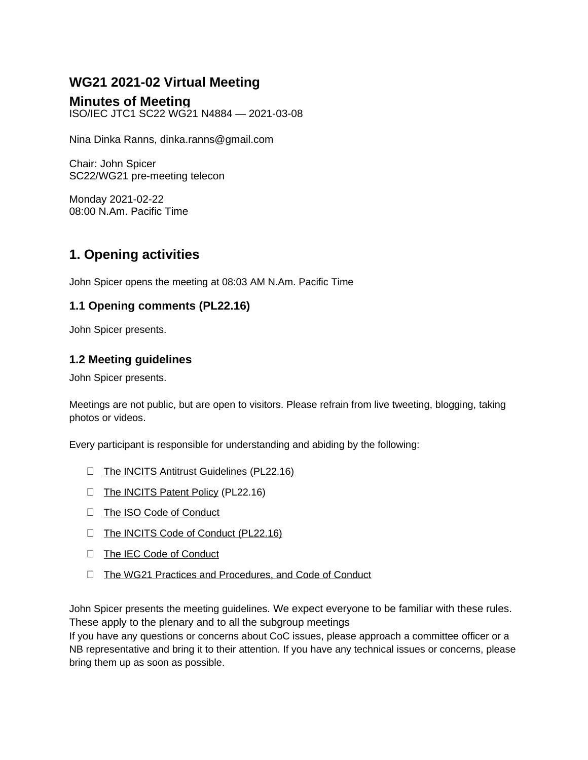# **WG21 2021-02 Virtual Meeting**

# **Minutes of Meeting**

ISO/IEC JTC1 SC22 WG21 N4884 — 2021-03-08

Nina Dinka Ranns, dinka.ranns@gmail.com

Chair: John Spicer SC22/WG21 pre-meeting telecon

Monday 2021-02-22 08:00 N.Am. Pacific Time

# **1. Opening activities**

John Spicer opens the meeting at 08:03 AM N.Am. Pacific Time

## **1.1 Opening comments (PL22.16)**

John Spicer presents.

## **1.2 Meeting guidelines**

John Spicer presents.

Meetings are not public, but are open to visitors. Please refrain from live tweeting, blogging, taking photos or videos.

Every participant is responsible for understanding and abiding by the following:

- $\Box$  [The INCITS Antitrust Guidelines](http://www.incits.org/standards-information/legal-info) (PL22.16)
- The INCITS Patent Policy (PL22.16)
- □ [The ISO Code of Conduct](https://www.iso.org/files/live/sites/isoorg/files/store/en/PUB100397.pdf)
- [The INCITS Code of Conduct \(PL22.16\)](http://standards.incits.org/apps/group_public/document.php?document_id=124850&wg_abbrev=eb)
- □ [The IEC Code of Conduct](https://basecamp.iec.ch/download/iec-code-of-conduct-for-delegates-and-experts)
- $\Box$  [The WG21 Practices and Procedures, and Code of Conduct](https://isocpp.org/std/standing-documents/sd-4-wg21-practices-and-procedures)

John Spicer presents the meeting guidelines. We expect everyone to be familiar with these rules. These apply to the plenary and to all the subgroup meetings

If you have any questions or concerns about CoC issues, please approach a committee officer or a NB representative and bring it to their attention. If you have any technical issues or concerns, please bring them up as soon as possible.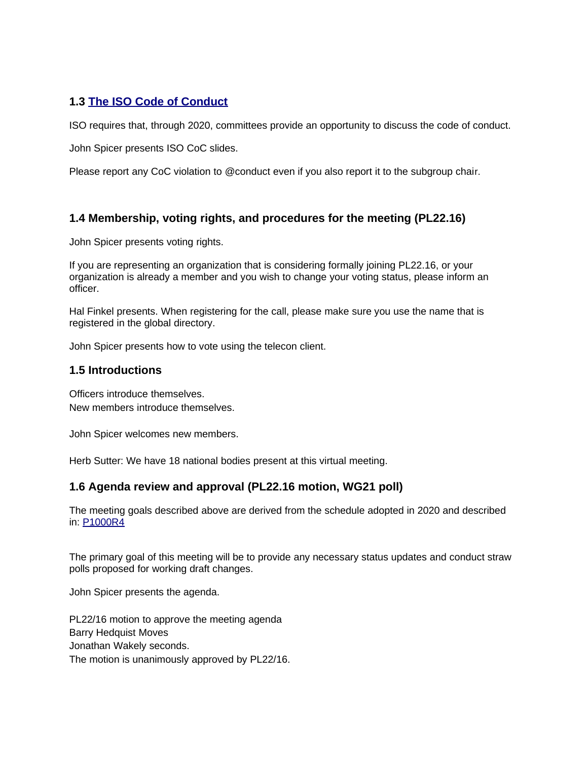### **1.3 [The ISO Code of Conduct](https://www.iso.org/files/live/sites/isoorg/files/store/en/PUB100397.pdf)**

ISO requires that, through 2020, committees provide an opportunity to discuss the code of conduct.

John Spicer presents ISO CoC slides.

Please report any CoC violation to @conduct even if you also report it to the subgroup chair.

### **1.4 Membership, voting rights, and procedures for the meeting (PL22.16)**

John Spicer presents voting rights.

If you are representing an organization that is considering formally joining PL22.16, or your organization is already a member and you wish to change your voting status, please inform an officer.

Hal Finkel presents. When registering for the call, please make sure you use the name that is registered in the global directory.

John Spicer presents how to vote using the telecon client.

#### **1.5 Introductions**

Officers introduce themselves. New members introduce themselves.

John Spicer welcomes new members.

Herb Sutter: We have 18 national bodies present at this virtual meeting.

#### **1.6 Agenda review and approval (PL22.16 motion, WG21 poll)**

The meeting goals described above are derived from the schedule adopted in 2020 and described in: [P1000R4](http://www.open-std.org/jtc1/sc22/wg21/docs/papers/2020/p1000r4.pdf)

The primary goal of this meeting will be to provide any necessary status updates and conduct straw polls proposed for working draft changes.

John Spicer presents the agenda.

PL22/16 motion to approve the meeting agenda Barry Hedquist Moves Jonathan Wakely seconds. The motion is unanimously approved by PL22/16.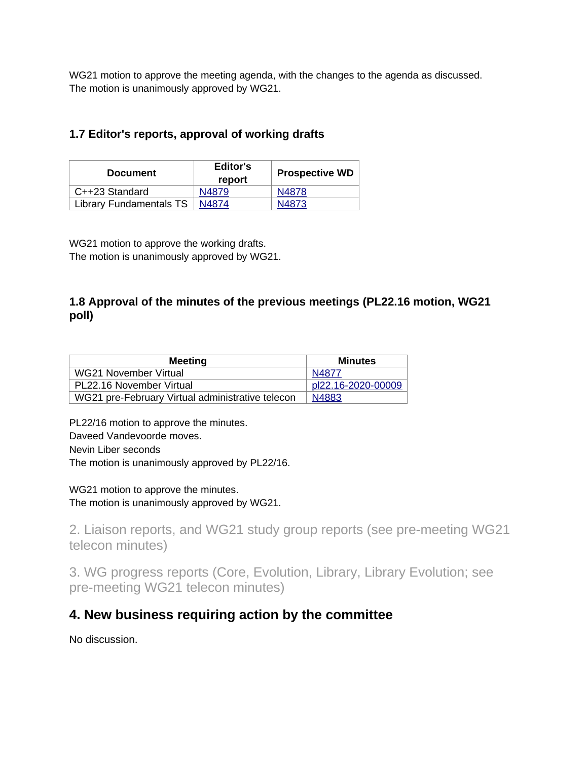WG21 motion to approve the meeting agenda, with the changes to the agenda as discussed. The motion is unanimously approved by WG21.

# **1.7 Editor's reports, approval of working drafts**

| <b>Document</b>         | Editor's<br>report | <b>Prospective WD</b> |  |
|-------------------------|--------------------|-----------------------|--|
| C++23 Standard          | N4879              | N4878                 |  |
| Library Fundamentals TS | N4874              | N4873                 |  |

WG21 motion to approve the working drafts. The motion is unanimously approved by WG21.

# **1.8 Approval of the minutes of the previous meetings (PL22.16 motion, WG21 poll)**

| <b>Meeting</b>                                   | <b>Minutes</b>     |
|--------------------------------------------------|--------------------|
| WG21 November Virtual                            | N4877              |
| PL22.16 November Virtual                         | pl22.16-2020-00009 |
| WG21 pre-February Virtual administrative telecon | N4883              |

PL22/16 motion to approve the minutes. Daveed Vandevoorde moves. Nevin Liber seconds The motion is unanimously approved by PL22/16.

WG21 motion to approve the minutes. The motion is unanimously approved by WG21.

2. Liaison reports, and WG21 study group reports (see pre-meeting WG21 telecon minutes)

3. WG progress reports (Core, Evolution, Library, Library Evolution; see pre-meeting WG21 telecon minutes)

# **4. New business requiring action by the committee**

No discussion.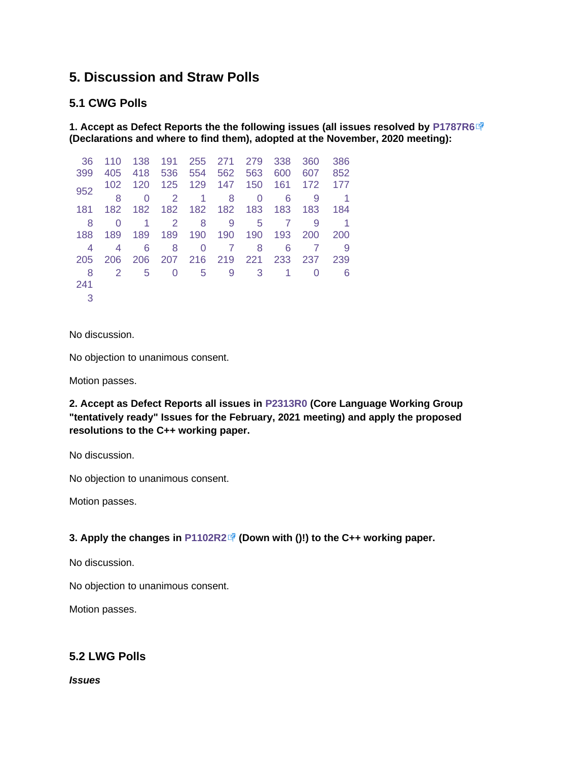# **5. Discussion and Straw Polls**

#### **5.1 CWG Polls**

**1. Accept as Defect Reports the the following issues (all issues resolved by [P1787R6](http://www.open-std.org/jtc1/sc22/wg21/docs/papers/2020/p1787r6.html) (Declarations and where to find them), adopted at the November, 2020 meeting):**

| 36  | 110 | 138 | 191 | 255 | 271 | 279 | 338 | 360 | 386 |
|-----|-----|-----|-----|-----|-----|-----|-----|-----|-----|
| 399 | 405 | 418 | 536 | 554 | 562 | 563 | 600 | 607 | 852 |
| 952 | 102 | 120 | 125 | 129 | 147 | 150 | 161 | 172 | 177 |
|     | 8   | 0   | 2   | 1   | 8   | 0   | 6   | 9   |     |
| 181 | 182 | 182 | 182 | 182 | 182 | 183 | 183 | 183 | 184 |
| 8   | O   | 1   | 2   | 8   | 9   | 5   | 7   | 9   |     |
| 188 | 189 | 189 | 189 | 190 | 190 | 190 | 193 | 200 | 200 |
| 4   | 4   | 6   | 8   | 0   | 7   | 8   | 6   |     | 9   |
| 205 | 206 | 206 | 207 | 216 | 219 | 221 | 233 | 237 | 239 |
| 8   | 2   | 5   | 0   | 5   | 9   | 3   | 1   |     | 6   |
| 241 |     |     |     |     |     |     |     |     |     |
| 3   |     |     |     |     |     |     |     |     |     |

No discussion.

No objection to unanimous consent.

Motion passes.

**2. Accept as Defect Reports all issues in [P2313R0](https://wiki.edg.com/pub/Wg21virtual2021-02/StrawPolls/p2313r0.html) (Core Language Working Group "tentatively ready" Issues for the February, 2021 meeting) and apply the proposed resolutions to the C++ working paper.**

No discussion.

No objection to unanimous consent.

Motion passes.

#### **3. Apply the changes in [P1102R2](http://open-std.org/jtc1/sc22/wg21/docs/papers/2020/p1102r2.html) (Down with ()!) to the C++ working paper.**

No discussion.

No objection to unanimous consent.

Motion passes.

## **5.2 LWG Polls**

*Issues*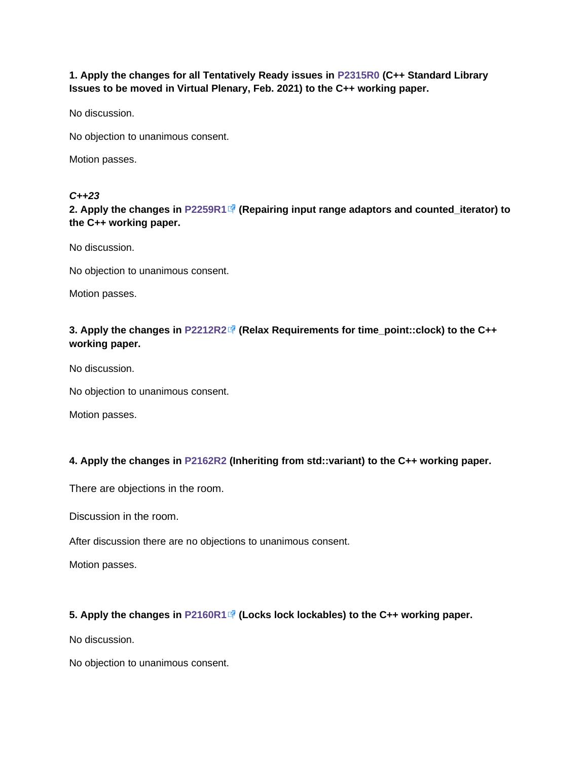**1. Apply the changes for all Tentatively Ready issues in [P2315R0](https://wiki.edg.com/pub/Wg21virtual2021-02/StrawPolls/p2315r0.html) (C++ Standard Library Issues to be moved in Virtual Plenary, Feb. 2021) to the C++ working paper.**

No discussion.

No objection to unanimous consent.

Motion passes.

#### *C++23*

**2. Apply the changes in [P2259R1](http://www.open-std.org/jtc1/sc22/wg21/docs/papers/2021/p2259r1.html) (Repairing input range adaptors and counted\_iterator) to the C++ working paper.**

No discussion.

No objection to unanimous consent.

Motion passes.

### **3. Apply the changes in [P2212R2](http://www.open-std.org/jtc1/sc22/wg21/docs/papers/2020/p2212r2.html) (Relax Requirements for time\_point::clock) to the C++ working paper.**

No discussion.

No objection to unanimous consent.

Motion passes.

#### **4. Apply the changes in [P2162R2](https://wiki.edg.com/pub/Wg21virtual2021-02/StrawPolls/p2162r2.html) (Inheriting from std::variant) to the C++ working paper.**

There are objections in the room.

Discussion in the room.

After discussion there are no objections to unanimous consent.

Motion passes.

#### **5. Apply the changes in [P2160R1](http://www.open-std.org/jtc1/sc22/wg21/docs/papers/2020/p2160r1.html) (Locks lock lockables) to the C++ working paper.**

No discussion.

No objection to unanimous consent.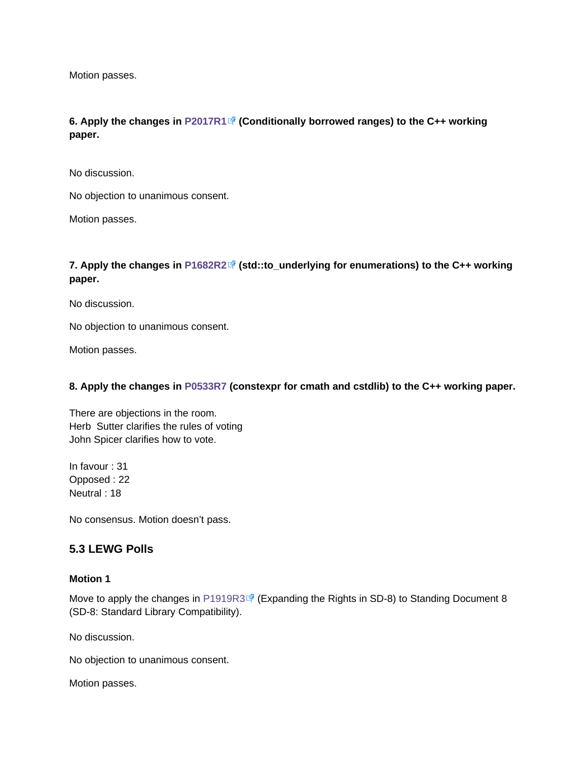Motion passes.

**6. Apply the changes in [P2017R1](http://www.open-std.org/jtc1/sc22/wg21/docs/papers/2020/p2017r1.html) (Conditionally borrowed ranges) to the C++ working paper.**

No discussion.

No objection to unanimous consent.

Motion passes.

#### **7. Apply the changes in [P1682R2](http://www.open-std.org/jtc1/sc22/wg21/docs/papers/2021/p1682r2.html) (std::to\_underlying for enumerations) to the C++ working paper.**

No discussion.

No objection to unanimous consent.

Motion passes.

#### **8. Apply the changes in [P0533R7](https://wiki.edg.com/pub/Wg21virtual2021-02/StrawPolls/p0533r7.pdf) (constexpr for cmath and cstdlib) to the C++ working paper.**

There are objections in the room. Herb Sutter clarifies the rules of voting John Spicer clarifies how to vote.

In favour : 31 Opposed : 22 Neutral : 18

No consensus. Motion doesn't pass.

#### **5.3 LEWG Polls**

#### **Motion 1**

Move to apply the changes in [P1919R3](https://wg21.link/P1919R3)  $\vec{P}$  (Expanding the Rights in SD-8) to Standing Document 8 (SD-8: Standard Library Compatibility).

No discussion.

No objection to unanimous consent.

Motion passes.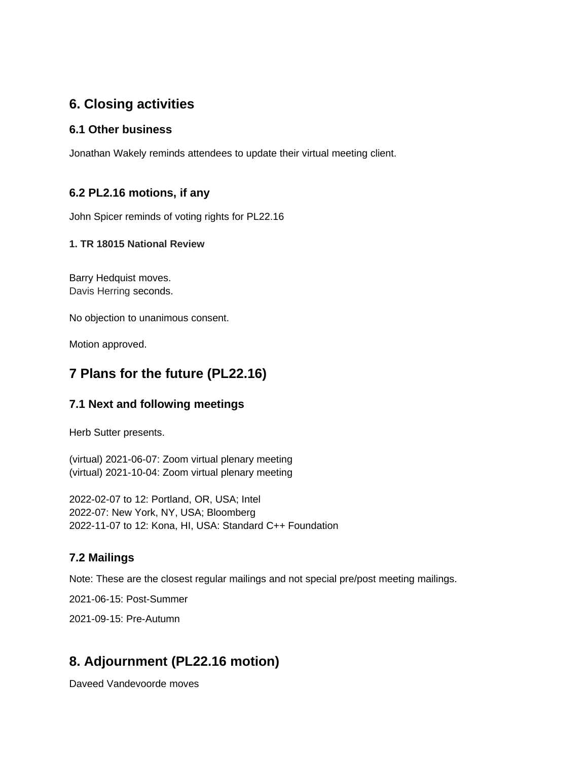# **6. Closing activities**

### **6.1 Other business**

Jonathan Wakely reminds attendees to update their virtual meeting client.

## **6.2 PL2.16 motions, if any**

John Spicer reminds of voting rights for PL22.16

#### **1. TR 18015 National Review**

Barry Hedquist moves. Davis Herring seconds.

No objection to unanimous consent.

Motion approved.

# **7 Plans for the future (PL22.16)**

## **7.1 Next and following meetings**

Herb Sutter presents.

(virtual) 2021-06-07: Zoom virtual plenary meeting (virtual) 2021-10-04: Zoom virtual plenary meeting

2022-02-07 to 12: Portland, OR, USA; Intel 2022-07: New York, NY, USA; Bloomberg 2022-11-07 to 12: Kona, HI, USA: Standard C++ Foundation

## **7.2 Mailings**

Note: These are the closest regular mailings and not special pre/post meeting mailings.

2021-06-15: Post-Summer

2021-09-15: Pre-Autumn

# **8. Adjournment (PL22.16 motion)**

Daveed Vandevoorde moves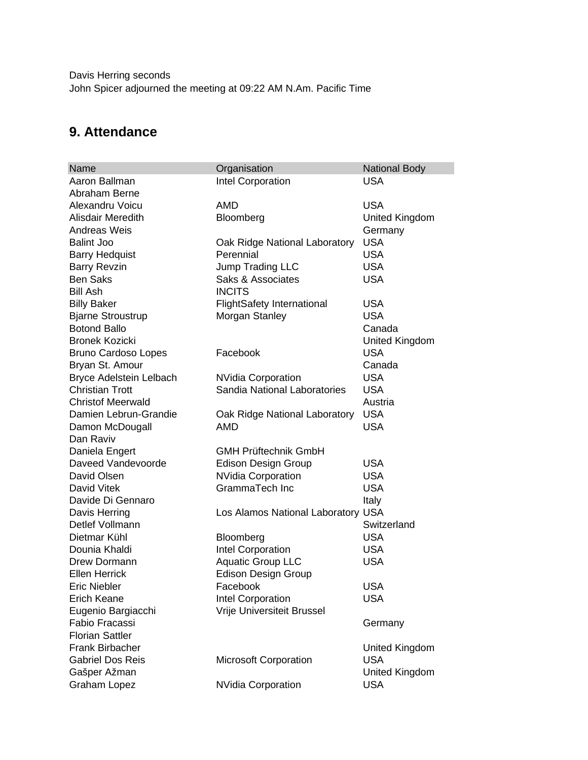Davis Herring seconds John Spicer adjourned the meeting at 09:22 AM N.Am. Pacific Time

# **9. Attendance**

| Name                       | Organisation                       | <b>National Body</b> |
|----------------------------|------------------------------------|----------------------|
| Aaron Ballman              | Intel Corporation                  | <b>USA</b>           |
| Abraham Berne              |                                    |                      |
| Alexandru Voicu            | AMD                                | <b>USA</b>           |
| Alisdair Meredith          | Bloomberg                          | United Kingdom       |
| <b>Andreas Weis</b>        |                                    | Germany              |
| <b>Balint Joo</b>          | Oak Ridge National Laboratory      | <b>USA</b>           |
| <b>Barry Hedquist</b>      | Perennial                          | <b>USA</b>           |
| <b>Barry Revzin</b>        | Jump Trading LLC                   | <b>USA</b>           |
| <b>Ben Saks</b>            | <b>Saks &amp; Associates</b>       | <b>USA</b>           |
| <b>Bill Ash</b>            | <b>INCITS</b>                      |                      |
| <b>Billy Baker</b>         | <b>FlightSafety International</b>  | <b>USA</b>           |
| <b>Bjarne Stroustrup</b>   | Morgan Stanley                     | <b>USA</b>           |
| <b>Botond Ballo</b>        |                                    | Canada               |
| <b>Bronek Kozicki</b>      |                                    | United Kingdom       |
| <b>Bruno Cardoso Lopes</b> | Facebook                           | <b>USA</b>           |
| Bryan St. Amour            |                                    | Canada               |
| Bryce Adelstein Lelbach    | <b>NVidia Corporation</b>          | <b>USA</b>           |
| <b>Christian Trott</b>     | Sandia National Laboratories       | <b>USA</b>           |
| <b>Christof Meerwald</b>   |                                    | Austria              |
| Damien Lebrun-Grandie      | Oak Ridge National Laboratory      | <b>USA</b>           |
| Damon McDougall            | AMD                                | <b>USA</b>           |
| Dan Raviv                  |                                    |                      |
| Daniela Engert             | <b>GMH Prüftechnik GmbH</b>        |                      |
| Daveed Vandevoorde         | <b>Edison Design Group</b>         | <b>USA</b>           |
| David Olsen                | <b>NVidia Corporation</b>          | <b>USA</b>           |
| David Vitek                | GrammaTech Inc                     | <b>USA</b>           |
| Davide Di Gennaro          |                                    | Italy                |
| Davis Herring              | Los Alamos National Laboratory USA |                      |
| Detlef Vollmann            |                                    | Switzerland          |
| Dietmar Kühl               | Bloomberg                          | <b>USA</b>           |
| Dounia Khaldi              | Intel Corporation                  | <b>USA</b>           |
| Drew Dormann               | <b>Aquatic Group LLC</b>           | <b>USA</b>           |
| <b>Ellen Herrick</b>       | <b>Edison Design Group</b>         |                      |
| Eric Niebler               | Facebook                           | <b>USA</b>           |
| <b>Erich Keane</b>         | Intel Corporation                  | <b>USA</b>           |
| Eugenio Bargiacchi         | Vrije Universiteit Brussel         |                      |
| Fabio Fracassi             |                                    | Germany              |
| <b>Florian Sattler</b>     |                                    |                      |
| Frank Birbacher            |                                    | United Kingdom       |
| <b>Gabriel Dos Reis</b>    | Microsoft Corporation              | <b>USA</b>           |
| Gašper Ažman               |                                    | United Kingdom       |
| <b>Graham Lopez</b>        | <b>NVidia Corporation</b>          | <b>USA</b>           |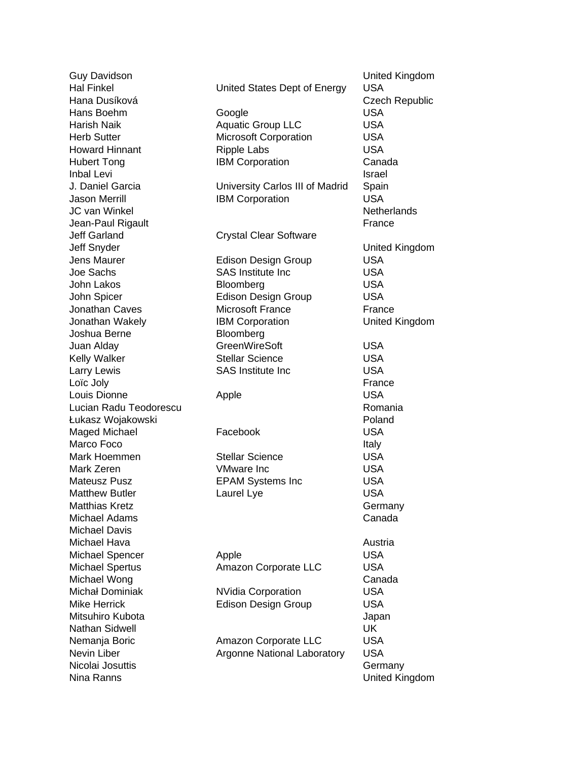Jeff Garland Crystal Clear Software Joshua Berne Bloomberg Michael Davis Nina Ranns United Kingdom

Guy Davidson United Kingdom Hal Finkel **Energy** United States Dept of Energy USA Hana Dusíková **Czech Republic** Hans Boehm Google Google USA Harish Naik **Aquatic Group LLC** USA Herb Sutter **Microsoft Corporation** USA Howard Hinnant Ripple Labs USA Hubert Tong **IBM Corporation** Canada Inbal Levi **Israel** J. Daniel Garcia University Carlos III of Madrid Spain Jason Merrill **IBM Corporation** USA JC van Winkel Netherlands Netherlands Netherlands Jean-Paul Rigault **France** Jeff Snyder United Kingdom Jens Maurer **Edison Design Group** USA Joe Sachs **SAS Institute Inc** USA John Lakos Bloomberg Bossey Broomberg USA John Spicer **Edison Design Group** USA Jonathan Caves Microsoft France France Jonathan Wakely IBM Corporation United Kingdom Juan Alday **GreenWireSoft** USA Kelly Walker Stellar Science CSA Larry Lewis **Example 2** SAS Institute Inc **Example 2** USA Loïc Joly France Louis Dionne **Apple** Apple **USA** Lucian Radu Teodorescu Romania Łukasz Wojakowski Poland Maged Michael **Facebook** Facebook USA Marco Foco **Italy** Mark Hoemmen Stellar Science USA Mark Zeren VMware Inc USA Mateusz Pusz **EPAM Systems Inc** USA Matthew Butler **Laurel Lye** Laurel Lye USA Matthias Kretz **Germany** Michael Adams **Canada** Michael Hava **Austria** Austria Austria Austria Austria Austria Michael Spencer Apple Apple USA Michael Spertus **Amazon Corporate LLC** USA Michael Wong **Canada** Michał Dominiak MVidia Corporation USA Mike Herrick **Edison Design Group** USA Mitsuhiro Kubota **Japani** Mitsuhiro Kubota Japani Japani Japani Japani Japani Japani Japani Japani Japani Japani Nathan Sidwell UK Nemanja Boric **Amazon Corporate LLC** USA Nevin Liber **Argonne National Laboratory** USA Nicolai Josuttis **Germany**